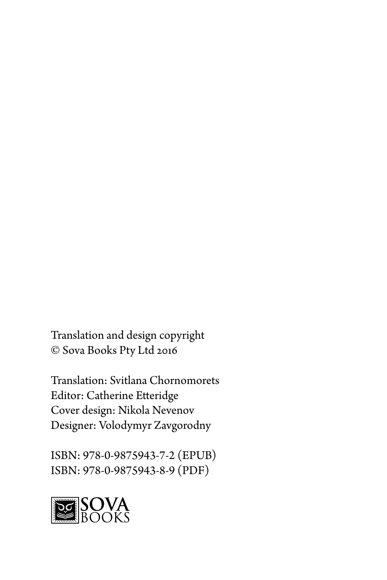<span id="page-0-0"></span>Translation and design copyright © Sova Books Pty Ltd 2016

Translation: Svitlana Chоrnomorets Editor: Catherine Etteridge Cover design: Nikola Nevenov Designer: Volodymyr Zavgorodny

ISBN: 978-0-9875943-7-2 (EPUB) ISBN: 978-0-9875943-8-9 (PDF)

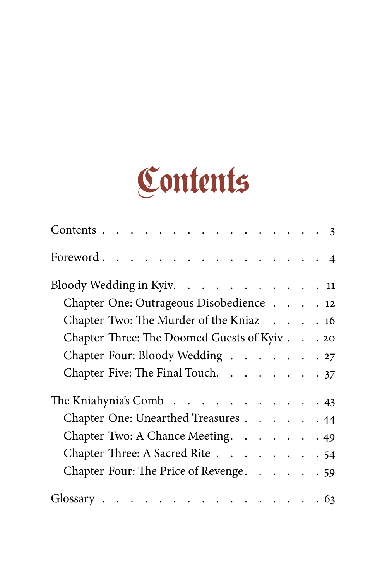

| Contents 3                                                                            |  |     |
|---------------------------------------------------------------------------------------|--|-----|
| Foreword. 4                                                                           |  |     |
| Bloody Wedding in Kyiv. 11                                                            |  |     |
| Chapter One: Outrageous Disobedience 12                                               |  |     |
| Chapter Two: The Murder of the Kniaz 16                                               |  |     |
| Chapter Three: The Doomed Guests of Kyiv 20                                           |  |     |
| Chapter Four: Bloody Wedding 27                                                       |  |     |
| Chapter Five: The Final Touch. 37                                                     |  |     |
| The Kniahynia's Comb $\cdot \cdot \cdot \cdot \cdot \cdot \cdot \cdot \cdot \cdot 43$ |  |     |
| Chapter One: Unearthed Treasures 44                                                   |  |     |
| Chapter Two: A Chance Meeting.                                                        |  | .49 |
| Chapter Three: A Sacred Rite 54                                                       |  |     |
| Chapter Four: The Price of Revenge. 59                                                |  |     |
| Glossary 63                                                                           |  |     |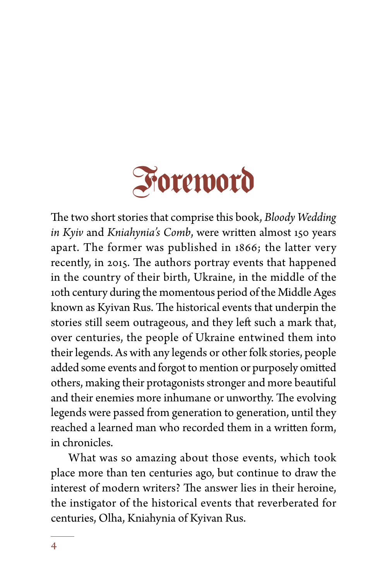<span id="page-2-0"></span>

The two short stories that comprise this book, *Bloody Wedding in Kyiv* and *Kniahynia's Comb*, were writen almost 150 years apart. The former was published in 1866; the latter very recently, in 2015. The authors portray events that happened in the country of their birth, Ukraine, in the middle of the 10th century during the momentous period of the Middle Ages known as Kyivan Rus. The historical events that underpin the stories still seem outrageous, and they left such a mark that, over centuries, the people of Ukraine entwined them into their legends. As with any legends or other folk stories, people added some events and forgot to mention or purposely omited others, making their protagonists stronger and more beautiful and their enemies more inhumane or unworthy. The evolving legends were passed from generation to generation, until they reached a learned man who recorded them in a writen form, in chronicles.

What was so amazing about those events, which took place more than ten centuries ago, but continue to draw the interest of modern writers? The answer lies in their heroine, the instigator of the historical events that reverberated for centuries, Olha, Kniahynia of Kyivan Rus.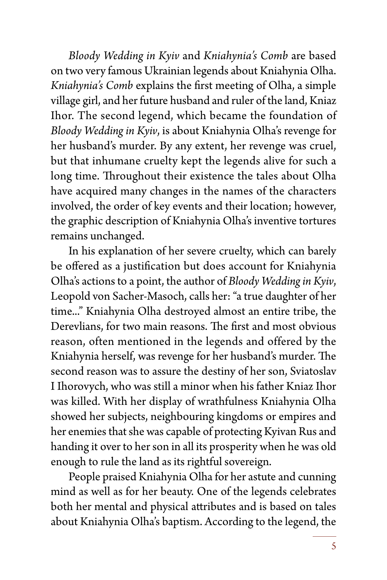*Bloody Wedding in Kyiv* and *Kniahynia's Comb* are based on two very famous Ukrainian legends about Kniahynia Olha. *Kniahynia's Comb* explains the frst meeting of Olha, a simple village girl, and her future husband and ruler of the land, Kniaz Ihor. The second legend, which became the foundation of *Bloody Wedding in Kyiv*, is about Kniahynia Olha's revenge for her husband's murder. By any extent, her revenge was cruel, but that inhumane cruelty kept the legends alive for such a long time. Throughout their existence the tales about Olha have acquired many changes in the names of the characters involved, the order of key events and their location; however, the graphic description of Kniahynia Olha's inventive tortures remains unchanged.

In his explanation of her severe cruelty, which can barely be offered as a justification but does account for Kniahynia Olha's actions to a point, the author of *Bloody Wedding in Kyiv*, Leopold von Sacher-Masoch, calls her: "a true daughter of her time..." Kniahynia Olha destroyed almost an entire tribe, the Derevlians, for two main reasons. The first and most obvious reason, often mentioned in the legends and offered by the Kniahynia herself, was revenge for her husband's murder. The second reason was to assure the destiny of her son, Sviatoslav I Ihorovych, who was still a minor when his father Kniaz Ihor was killed. With her display of wrathfulness Kniahynia Olha showed her subjects, neighbouring kingdoms or empires and her enemies that she was capable of protecting Kyivan Rus and handing it over to her son in all its prosperity when he was old enough to rule the land as its rightful sovereign.

People praised Kniahynia Olha for her astute and cunning mind as well as for her beauty. One of the legends celebrates both her mental and physical atributes and is based on tales about Kniahynia Olha's baptism. According to the legend, the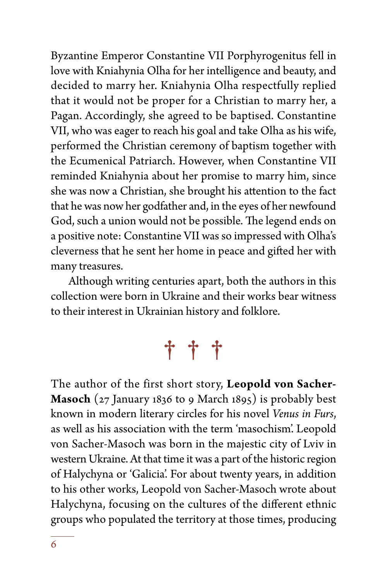Byzantine Emperor Constantine VII Porphyrogenitus fell in love with Kniahynia Olha for her intelligence and beauty, and decided to marry her. Kniahynia Olha respectfully replied that it would not be proper for a Christian to marry her, a Pagan. Accordingly, she agreed to be baptised. Constantine VII, who was eager to reach his goal and take Olha as his wife, performed the Christian ceremony of baptism together with the Ecumenical Patriarch. However, when Constantine VII reminded Kniahynia about her promise to marry him, since she was now a Christian, she brought his atention to the fact that he was now her godfather and, in the eyes of her newfound God, such a union would not be possible. The legend ends on a positive note: Constantine VII was so impressed with Olha's cleverness that he sent her home in peace and gifed her with many treasures.

Although writing centuries apart, both the authors in this collection were born in Ukraine and their works bear witness to their interest in Ukrainian history and folklore.

## **†††**

The author of the first short story, **Leopold von Sacher-Masoch** (27 January 1836 to 9 March 1895) is probably best known in modern literary circles for his novel *Venus in Furs*, as well as his association with the term 'masochism'. Leopold von Sacher-Masoch was born in the majestic city of Lviv in western Ukraine. At that time it was a part of the historic region of Halychyna or 'Galicia'. For about twenty years, in addition to his other works, Leopold von Sacher-Masoch wrote about Halychyna, focusing on the cultures of the diferent ethnic groups who populated the territory at those times, producing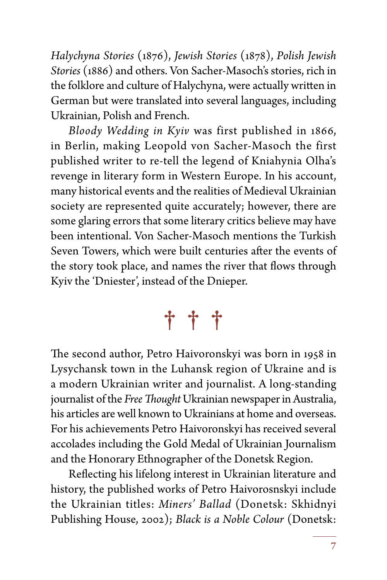*Halychyna Stories* (1876), *Jewish Stories* (1878), *Polish Jewish Stories* (1886) and others. Von Sacher-Masoch's stories, rich in the folklore and culture of Halychyna, were actually writen in German but were translated into several languages, including Ukrainian, Polish and French.

*Bloody Wedding in Kyiv* was first published in 1866, in Berlin, making Leopold von Sacher-Masoch the first published writer to re-tell the legend of Kniahynia Olha's revenge in literary form in Western Europe. In his account, many historical events and the realities of Medieval Ukrainian society are represented quite accurately; however, there are some glaring errors that some literary critics believe may have been intentional. Von Sacher-Masoch mentions the Turkish Seven Towers, which were built centuries afer the events of the story took place, and names the river that flows through Kyiv the 'Dniester', instead of the Dnieper.

## **†††**

The second author, Petro Haivoronskyi was born in 1958 in Lysychansk town in the Luhansk region of Ukraine and is a modern Ukrainian writer and journalist. A long-standing journalist of the *Free Tought* Ukrainian newspaper in Australia, his articles are well known to Ukrainians at home and overseas. For his achievements Petro Haivoronskyi has received several accolades including the Gold Medal of Ukrainian Journalism and the Honorary Ethnographer of the Donetsk Region.

Refecting his lifelong interest in Ukrainian literature and history, the published works of Petro Haivorosnskyi include the Ukrainian titles: *Miners' Ballad* (Donetsk: Skhidnyi Publishing House, 2002); *Black is a Noble Colour* (Donetsk: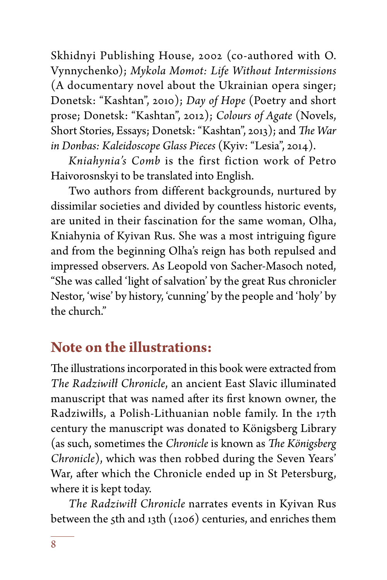Skhidnyi Publishing House, 2002 (co-authored with O. Vynnychenko); *Mykola Momot: Life Without Intermissions* (A documentary novel about the Ukrainian opera singer; Donetsk: "Kashtan", 2010); *Day of Hope* (Poetry and short prose; Donetsk: "Kashtan", 2012); *Colours of Agate* (Novels, Short Stories, Essays; Donetsk: "Kashtan", 2013); and *Te War in Donbas: Kaleidoscope Glass Pieces* (Kyiv: "Lesia", 2014).

*Kniahynia's Comb* is the first fiction work of Petro Haivorosnskyi to be translated into English.

Two authors from different backgrounds, nurtured by dissimilar societies and divided by countless historic events, are united in their fascination for the same woman, Olha, Kniahynia of Kyivan Rus. She was a most intriguing figure and from the beginning Olha's reign has both repulsed and impressed observers. As Leopold von Sacher-Masoch noted, "She was called 'light of salvation' by the great Rus chronicler Nestor, 'wise' by history, 'cunning' by the people and 'holy' by the church."

#### **Note on the illustrations:**

The illustrations incorporated in this book were extracted from *The Radziwiłł Chronicle*, an ancient East Slavic illuminated manuscript that was named afer its frst known owner, the Radziwiłłs, a Polish-Lithuanian noble family. In the 17th century the manuscript was donated to Königsberg Library (as such, sometimes the *Chronicle* is known as *Te Königsberg Chronicle*), which was then robbed during the Seven Years' War, after which the Chronicle ended up in St Petersburg, where it is kept today.

*The Radziwiłł Chronicle* narrates events in Kyivan Rus between the 5th and 13th (1206) centuries, and enriches them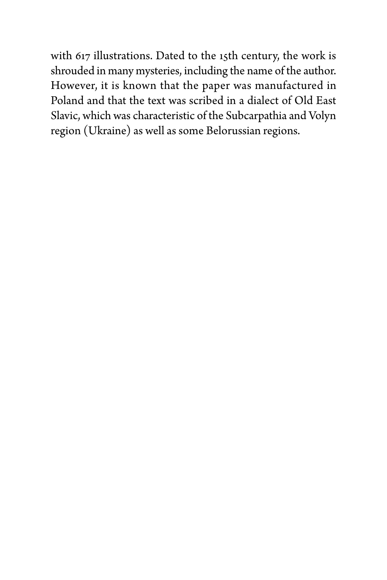with 617 illustrations. Dated to the 15th century, the work is shrouded in many mysteries, including the name of the author. However, it is known that the paper was manufactured in Poland and that the text was scribed in a dialect of Old East Slavic, which was characteristic of the Subcarpathia and Volyn region (Ukraine) as well as some Belorussian regions.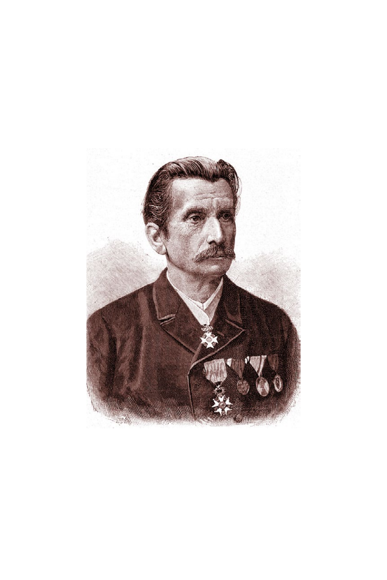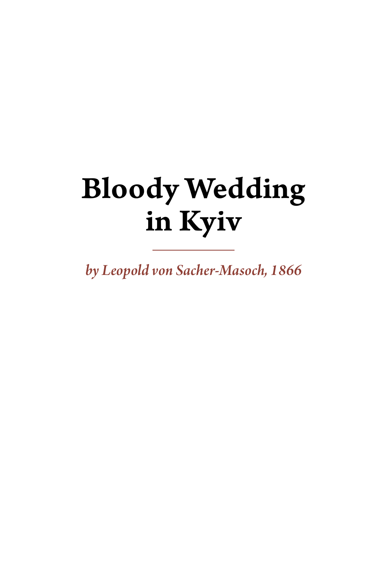## <span id="page-9-0"></span>Bloody Wedding in Kyiv

*by Leopold von Sacher-Masoch, 1866*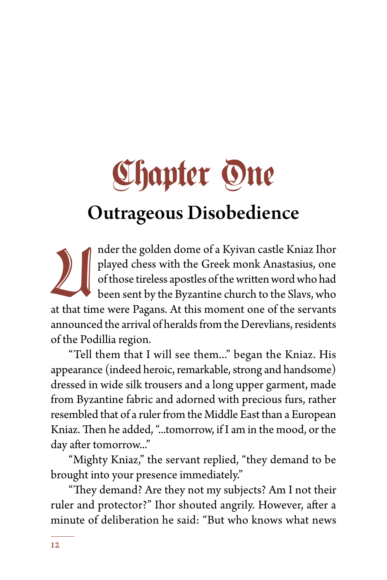# <span id="page-10-0"></span>Chapter One:

### Outrageous Disobedience

nder the golden dome of a Kyivan castle Kniaz Ihor<br>played chess with the Greek monk Anastasius, one<br>of those tireless apostles of the written word who had<br>been sent by the Byzantine church to the Slavs, who played chess with the Greek monk Anastasius, one of those tireless apostles of the writen word who had been sent by the Byzantine church to the Slavs, who at that time were Pagans. At this moment one of the servants announced the arrival of heralds from the Derevlians, residents of the Podillia region.

"Tell them that I will see them..." began the Kniaz. His appearance (indeed heroic, remarkable, strong and handsome) dressed in wide silk trousers and a long upper garment, made from Byzantine fabric and adorned with precious furs, rather resembled that of a ruler from the Middle East than a European Kniaz. Then he added, "...tomorrow, if I am in the mood, or the day after tomorrow..."

"Mighty Kniaz," the servant replied, "they demand to be brought into your presence immediately."

"They demand? Are they not my subjects? Am I not their ruler and protector?" Ihor shouted angrily. However, after a minute of deliberation he said: "But who knows what news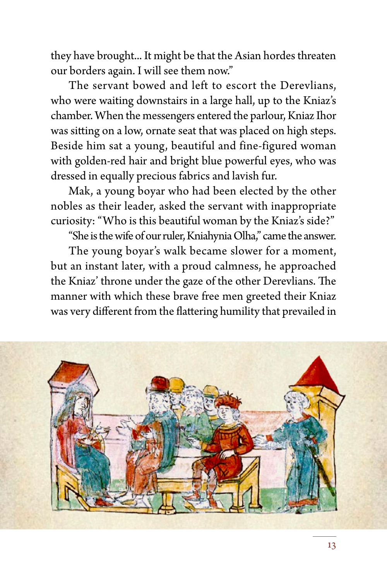they have brought... It might be that the Asian hordes threaten our borders again. I will see them now."

The servant bowed and left to escort the Derevlians, who were waiting downstairs in a large hall, up to the Kniaz's chamber. When the messengers entered the parlour, Kniaz Ihor was siting on a low, ornate seat that was placed on high steps. Beside him sat a young, beautiful and fine-figured woman with golden-red hair and bright blue powerful eyes, who was dressed in equally precious fabrics and lavish fur.

Mak, a young boyar who had been elected by the other nobles as their leader, asked the servant with inappropriate curiosity: "Who is this beautiful woman by the Kniaz's side?"

"She is the wife of our ruler, Kniahynia Olha," came the answer.

The young boyar's walk became slower for a moment, but an instant later, with a proud calmness, he approached the Kniaz' throne under the gaze of the other Derevlians. The manner with which these brave free men greeted their Kniaz was very diferent from the fatering humility that prevailed in